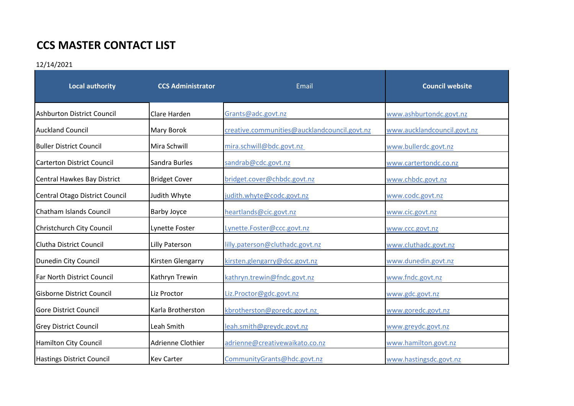## **CCS MASTER CONTACT LIST**

## 12/14/2021

| <b>Local authority</b>            | <b>CCS Administrator</b> | Email                                        | <b>Council website</b>      |
|-----------------------------------|--------------------------|----------------------------------------------|-----------------------------|
| Ashburton District Council        | Clare Harden             | Grants@adc.govt.nz                           | www.ashburtondc.govt.nz     |
| <b>Auckland Council</b>           | Mary Borok               | creative.communities@aucklandcouncil.govt.nz | www.aucklandcouncil.govt.nz |
| <b>Buller District Council</b>    | Mira Schwill             | mira.schwill@bdc.govt.nz                     | www.bullerdc.govt.nz        |
| <b>Carterton District Council</b> | Sandra Burles            | sandrab@cdc.govt.nz                          | www.cartertondc.co.nz       |
| Central Hawkes Bay District       | <b>Bridget Cover</b>     | bridget.cover@chbdc.govt.nz                  | www.chbdc.govt.nz           |
| Central Otago District Council    | Judith Whyte             | judith.whyte@codc.govt.nz                    | www.codc.govt.nz            |
| Chatham Islands Council           | <b>Barby Joyce</b>       | heartlands@cic.govt.nz                       | www.cic.govt.nz             |
| Christchurch City Council         | Lynette Foster           | Lynette.Foster@ccc.govt.nz                   | www.ccc.govt.nz             |
| <b>Clutha District Council</b>    | Lilly Paterson           | lilly.paterson@cluthadc.govt.nz              | www.cluthadc.govt.nz        |
| Dunedin City Council              | Kirsten Glengarry        | kirsten.glengarry@dcc.govt.nz                | www.dunedin.govt.nz         |
| Far North District Council        | Kathryn Trewin           | kathryn.trewin@fndc.govt.nz                  | www.fndc.govt.nz            |
| <b>Gisborne District Council</b>  | Liz Proctor              | Liz.Proctor@gdc.govt.nz                      | www.gdc.govt.nz             |
| <b>Gore District Council</b>      | Karla Brotherston        | kbrotherston@goredc.govt.nz                  | www.goredc.govt.nz          |
| <b>Grey District Council</b>      | Leah Smith               | leah.smith@greydc.govt.nz                    | www.greydc.govt.nz          |
| <b>Hamilton City Council</b>      | Adrienne Clothier        | adrienne@creativewaikato.co.nz               | www.hamilton.govt.nz        |
| <b>Hastings District Council</b>  | <b>Kev Carter</b>        | CommunityGrants@hdc.govt.nz                  | www.hastingsdc.govt.nz      |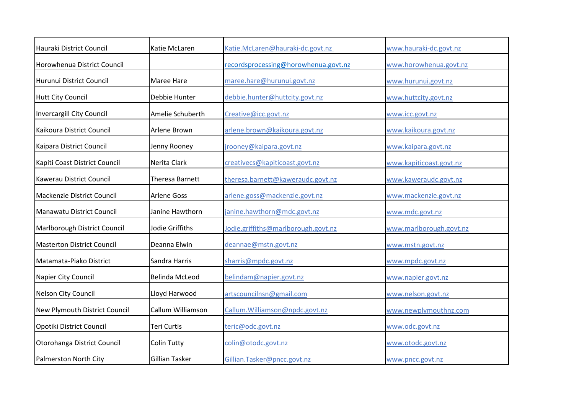| Hauraki District Council          | Katie McLaren         | Katie.McLaren@hauraki-dc.govt.nz     | www.hauraki-dc.govt.nz  |
|-----------------------------------|-----------------------|--------------------------------------|-------------------------|
| Horowhenua District Council       |                       | recordsprocessing@horowhenua.govt.nz | www.horowhenua.govt.nz  |
| Hurunui District Council          | <b>Maree Hare</b>     | maree.hare@hurunui.govt.nz           | www.hurunui.govt.nz     |
| <b>Hutt City Council</b>          | Debbie Hunter         | debbie.hunter@huttcity.govt.nz       | www.huttcity.govt.nz    |
| <b>Invercargill City Council</b>  | Amelie Schuberth      | Creative@icc.govt.nz                 | www.icc.govt.nz         |
| Kaikoura District Council         | Arlene Brown          | arlene.brown@kaikoura.govt.nz        | www.kaikoura.govt.nz    |
| Kaipara District Council          | Jenny Rooney          | <u>irooney@kaipara.govt.nz</u>       | www.kaipara.govt.nz     |
| Kapiti Coast District Council     | Nerita Clark          | creativecs@kapiticoast.govt.nz       | www.kapiticoast.govt.nz |
| Kawerau District Council          | Theresa Barnett       | theresa.barnett@kaweraudc.govt.nz    | www.kaweraudc.govt.nz   |
| Mackenzie District Council        | <b>Arlene Goss</b>    | arlene.goss@mackenzie.govt.nz        | www.mackenzie.govt.nz   |
| Manawatu District Council         | Janine Hawthorn       | janine.hawthorn@mdc.govt.nz          | www.mdc.govt.nz         |
| Marlborough District Council      | Jodie Griffiths       | Jodie.griffiths@marlborough.govt.nz  | www.marlborough.govt.nz |
| <b>Masterton District Council</b> | Deanna Elwin          | deannae@mstn.govt.nz                 | www.mstn.govt.nz        |
| Matamata-Piako District           | Sandra Harris         | sharris@mpdc.govt.nz                 | www.mpdc.govt.nz        |
| Napier City Council               | <b>Belinda McLeod</b> | belindam@napier.govt.nz              | www.napier.govt.nz      |
| Nelson City Council               | Lloyd Harwood         | artscouncilnsn@gmail.com             | www.nelson.govt.nz      |
| New Plymouth District Council     | Callum Williamson     | Callum.Williamson@npdc.govt.nz       | www.newplymouthnz.com   |
| Opotiki District Council          | <b>Teri Curtis</b>    | teric@odc.govt.nz                    | www.odc.govt.nz         |
| Otorohanga District Council       | <b>Colin Tutty</b>    | colin@otodc.govt.nz                  | www.otodc.govt.nz       |
| Palmerston North City             | <b>Gillian Tasker</b> | Gillian.Tasker@pncc.govt.nz          | www.pncc.govt.nz        |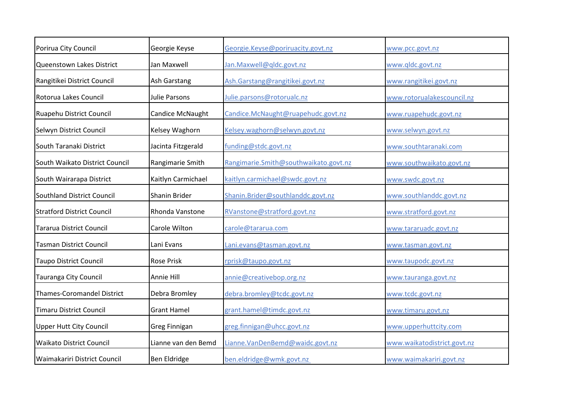| Porirua City Council              | Georgie Keyse           | Georgie.Keyse@poriruacity.govt.nz     | www.pcc.govt.nz             |
|-----------------------------------|-------------------------|---------------------------------------|-----------------------------|
| Queenstown Lakes District         | Jan Maxwell             | Jan.Maxwell@qldc.govt.nz              | www.qldc.govt.nz            |
| Rangitikei District Council       | Ash Garstang            | Ash.Garstang@rangitikei.govt.nz       | www.rangitikei.govt.nz      |
| Rotorua Lakes Council             | <b>Julie Parsons</b>    | Julie.parsons@rotorualc.nz            | www.rotorualakescouncil.nz  |
| Ruapehu District Council          | <b>Candice McNaught</b> | Candice.McNaught@ruapehudc.govt.nz    | www.ruapehudc.govt.nz       |
| Selwyn District Council           | Kelsey Waghorn          | Kelsey.waghorn@selwyn.govt.nz         | www.selwyn.govt.nz          |
| South Taranaki District           | Jacinta Fitzgerald      | funding@stdc.govt.nz                  | www.southtaranaki.com       |
| South Waikato District Council    | Rangimarie Smith        | Rangimarie.Smith@southwaikato.govt.nz | www.southwaikato.govt.nz    |
| South Wairarapa District          | Kaitlyn Carmichael      | kaitlyn.carmichael@swdc.govt.nz       | www.swdc.govt.nz            |
| Southland District Council        | Shanin Brider           | Shanin.Brider@southlanddc.govt.nz     | www.southlanddc.govt.nz     |
| <b>Stratford District Council</b> | Rhonda Vanstone         | RVanstone@stratford.govt.nz           | www.stratford.govt.nz       |
| Tararua District Council          | Carole Wilton           | carole@tararua.com                    | www.tararuadc.govt.nz       |
| <b>Tasman District Council</b>    | Lani Evans              | Lani.evans@tasman.govt.nz             | www.tasman.govt.nz          |
| <b>Taupo District Council</b>     | <b>Rose Prisk</b>       | rprisk@taupo.govt.nz                  | www.taupodc.govt.nz         |
| Tauranga City Council             | Annie Hill              | annie@creativebop.org.nz              | www.tauranga.govt.nz        |
| <b>Thames-Coromandel District</b> | Debra Bromley           | debra.bromley@tcdc.govt.nz            | www.tcdc.govt.nz            |
| <b>Timaru District Council</b>    | <b>Grant Hamel</b>      | grant.hamel@timdc.govt.nz             | www.timaru.govt.nz          |
| <b>Upper Hutt City Council</b>    | <b>Greg Finnigan</b>    | greg.finnigan@uhcc.govt.nz            | www.upperhuttcity.com       |
| <b>Waikato District Council</b>   | Lianne van den Bemd     | Lianne.VanDenBemd@waidc.govt.nz       | www.waikatodistrict.govt.nz |
| Waimakariri District Council      | <b>Ben Eldridge</b>     | ben.eldridge@wmk.govt.nz              | www.waimakariri.govt.nz     |